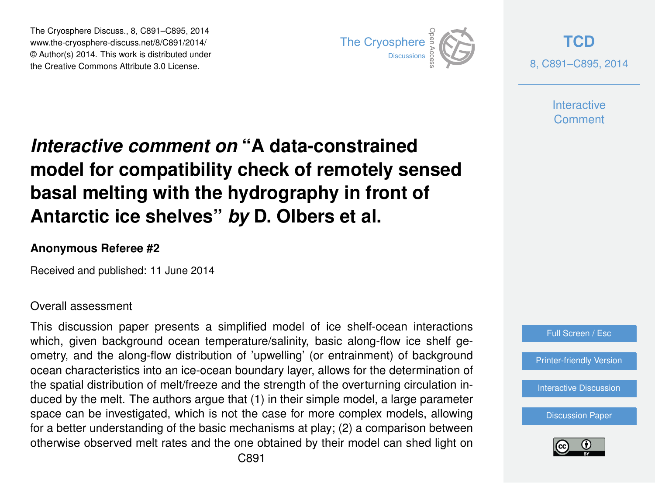The Cryosphere Discuss., 8, C891–C895, 2014 www.the-cryosphere-discuss.net/8/C891/2014/ © Author(s) 2014. This work is distributed under The Cryosphere Discuss., 8, C891–C895, 2014<br>
www.the-cryosphere-discuss.net/8/C891/2014/<br>
© Author(s) 2014. This work is distributed under<br>
the Creative Commons Attribute 3.0 License.



**[TCD](http://www.the-cryosphere-discuss.net)** 8, C891–C895, 2014

> **Interactive** Comment

## *Interactive comment on* **"A data-constrained model for compatibility check of remotely sensed basal melting with the hydrography in front of Antarctic ice shelves"** *by* **D. Olbers et al.**

## **Anonymous Referee #2**

Received and published: 11 June 2014

## Overall assessment

This discussion paper presents a simplified model of ice shelf-ocean interactions which, given background ocean temperature/salinity, basic along-flow ice shelf geometry, and the along-flow distribution of 'upwelling' (or entrainment) of background ocean characteristics into an ice-ocean boundary layer, allows for the determination of the spatial distribution of melt/freeze and the strength of the overturning circulation induced by the melt. The authors argue that (1) in their simple model, a large parameter space can be investigated, which is not the case for more complex models, allowing for a better understanding of the basic mechanisms at play; (2) a comparison between otherwise observed melt rates and the one obtained by their model can shed light on



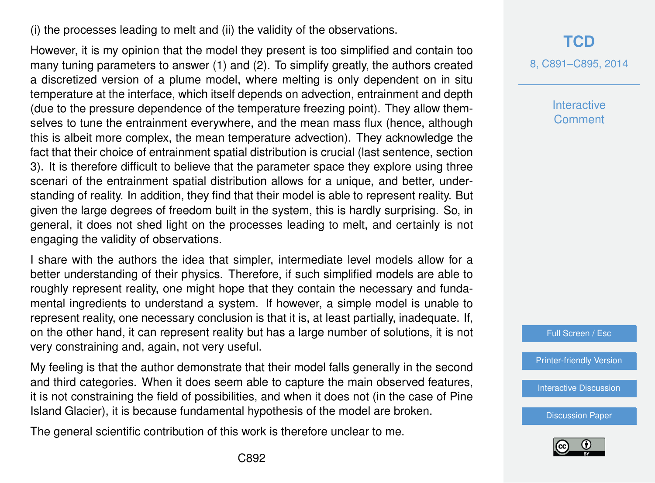(i) the processes leading to melt and (ii) the validity of the observations.

However, it is my opinion that the model they present is too simplified and contain too many tuning parameters to answer (1) and (2). To simplify greatly, the authors created a discretized version of a plume model, where melting is only dependent on in situ temperature at the interface, which itself depends on advection, entrainment and depth (due to the pressure dependence of the temperature freezing point). They allow themselves to tune the entrainment everywhere, and the mean mass flux (hence, although this is albeit more complex, the mean temperature advection). They acknowledge the fact that their choice of entrainment spatial distribution is crucial (last sentence, section 3). It is therefore difficult to believe that the parameter space they explore using three scenari of the entrainment spatial distribution allows for a unique, and better, understanding of reality. In addition, they find that their model is able to represent reality. But given the large degrees of freedom built in the system, this is hardly surprising. So, in general, it does not shed light on the processes leading to melt, and certainly is not engaging the validity of observations.

I share with the authors the idea that simpler, intermediate level models allow for a better understanding of their physics. Therefore, if such simplified models are able to roughly represent reality, one might hope that they contain the necessary and fundamental ingredients to understand a system. If however, a simple model is unable to represent reality, one necessary conclusion is that it is, at least partially, inadequate. If, on the other hand, it can represent reality but has a large number of solutions, it is not very constraining and, again, not very useful.

My feeling is that the author demonstrate that their model falls generally in the second and third categories. When it does seem able to capture the main observed features, it is not constraining the field of possibilities, and when it does not (in the case of Pine Island Glacier), it is because fundamental hypothesis of the model are broken.

The general scientific contribution of this work is therefore unclear to me.

8, C891–C895, 2014

**Interactive** Comment

Full Screen / Esc

[Printer-friendly Version](http://www.the-cryosphere-discuss.net/8/C891/2014/tcd-8-C891-2014-print.pdf)

[Interactive Discussion](http://www.the-cryosphere-discuss.net/8/919/2014/tcd-8-919-2014-discussion.html)

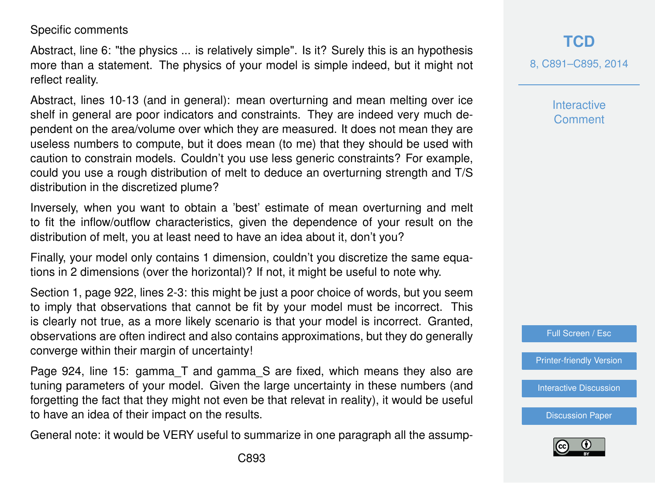Specific comments

Abstract, line 6: "the physics ... is relatively simple". Is it? Surely this is an hypothesis more than a statement. The physics of your model is simple indeed, but it might not reflect reality.

Abstract, lines 10-13 (and in general): mean overturning and mean melting over ice shelf in general are poor indicators and constraints. They are indeed very much dependent on the area/volume over which they are measured. It does not mean they are useless numbers to compute, but it does mean (to me) that they should be used with caution to constrain models. Couldn't you use less generic constraints? For example, could you use a rough distribution of melt to deduce an overturning strength and T/S distribution in the discretized plume?

Inversely, when you want to obtain a 'best' estimate of mean overturning and melt to fit the inflow/outflow characteristics, given the dependence of your result on the distribution of melt, you at least need to have an idea about it, don't you?

Finally, your model only contains 1 dimension, couldn't you discretize the same equations in 2 dimensions (over the horizontal)? If not, it might be useful to note why.

Section 1, page 922, lines 2-3: this might be just a poor choice of words, but you seem to imply that observations that cannot be fit by your model must be incorrect. This is clearly not true, as a more likely scenario is that your model is incorrect. Granted, observations are often indirect and also contains approximations, but they do generally converge within their margin of uncertainty!

Page 924, line 15: gamma\_T and gamma\_S are fixed, which means they also are tuning parameters of your model. Given the large uncertainty in these numbers (and forgetting the fact that they might not even be that relevat in reality), it would be useful to have an idea of their impact on the results.

General note: it would be VERY useful to summarize in one paragraph all the assump-

8, C891–C895, 2014

**Interactive** Comment

Full Screen / Esc

[Printer-friendly Version](http://www.the-cryosphere-discuss.net/8/C891/2014/tcd-8-C891-2014-print.pdf)

[Interactive Discussion](http://www.the-cryosphere-discuss.net/8/919/2014/tcd-8-919-2014-discussion.html)

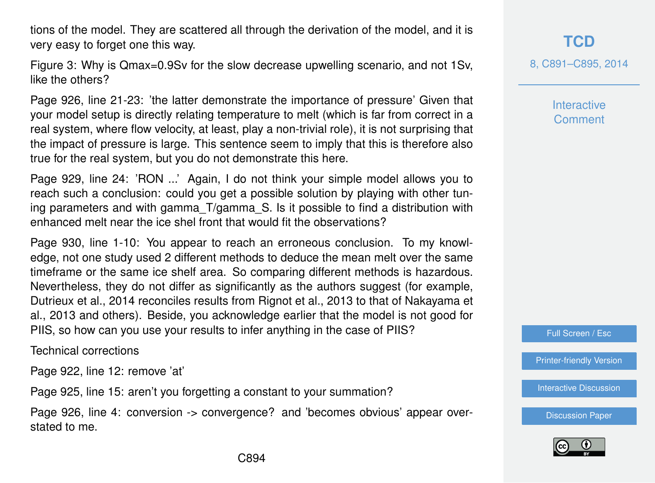tions of the model. They are scattered all through the derivation of the model, and it is very easy to forget one this way.

Figure 3: Why is Qmax=0.9Sv for the slow decrease upwelling scenario, and not 1Sv, like the others?

Page 926, line 21-23: 'the latter demonstrate the importance of pressure' Given that your model setup is directly relating temperature to melt (which is far from correct in a real system, where flow velocity, at least, play a non-trivial role), it is not surprising that the impact of pressure is large. This sentence seem to imply that this is therefore also true for the real system, but you do not demonstrate this here.

Page 929, line 24: 'RON ...' Again, I do not think your simple model allows you to reach such a conclusion: could you get a possible solution by playing with other tuning parameters and with gamma\_T/gamma\_S. Is it possible to find a distribution with enhanced melt near the ice shel front that would fit the observations?

Page 930, line 1-10: You appear to reach an erroneous conclusion. To my knowledge, not one study used 2 different methods to deduce the mean melt over the same timeframe or the same ice shelf area. So comparing different methods is hazardous. Nevertheless, they do not differ as significantly as the authors suggest (for example, Dutrieux et al., 2014 reconciles results from Rignot et al., 2013 to that of Nakayama et al., 2013 and others). Beside, you acknowledge earlier that the model is not good for PIIS, so how can you use your results to infer anything in the case of PIIS?

Technical corrections

Page 922, line 12: remove 'at'

Page 925, line 15: aren't you forgetting a constant to your summation?

Page 926, line 4: conversion -> convergence? and 'becomes obvious' appear overstated to me.

**[TCD](http://www.the-cryosphere-discuss.net)**

8, C891–C895, 2014

**Interactive** Comment

Full Screen / Esc

[Printer-friendly Version](http://www.the-cryosphere-discuss.net/8/C891/2014/tcd-8-C891-2014-print.pdf)

[Interactive Discussion](http://www.the-cryosphere-discuss.net/8/919/2014/tcd-8-919-2014-discussion.html)